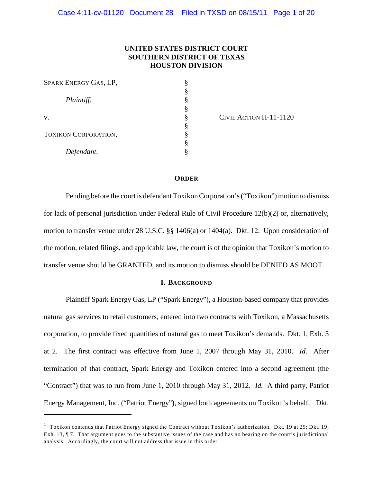# **UNITED STATES DISTRICT COURT SOUTHERN DISTRICT OF TEXAS HOUSTON DIVISION**

| SPARK ENERGY GAS, LP,       | § |
|-----------------------------|---|
|                             | § |
| Plaintiff,                  | § |
|                             | § |
| V.                          | § |
|                             | § |
| <b>TOXIKON CORPORATION,</b> | § |
|                             | ş |
| Defendant.                  | § |

CIVIL ACTION H-11-1120

#### **ORDER**

Pending before the court is defendant Toxikon Corporation's ("Toxikon") motion to dismiss for lack of personal jurisdiction under Federal Rule of Civil Procedure 12(b)(2) or, alternatively, motion to transfer venue under 28 U.S.C. §§ 1406(a) or 1404(a). Dkt. 12. Upon consideration of the motion, related filings, and applicable law, the court is of the opinion that Toxikon's motion to transfer venue should be GRANTED, and its motion to dismiss should be DENIED AS MOOT.

## **I. BACKGROUND**

Plaintiff Spark Energy Gas, LP ("Spark Energy"), a Houston-based company that provides natural gas services to retail customers, entered into two contracts with Toxikon, a Massachusetts corporation, to provide fixed quantities of natural gas to meet Toxikon's demands. Dkt. 1, Exh. 3 at 2. The first contract was effective from June 1, 2007 through May 31, 2010. *Id.* After termination of that contract, Spark Energy and Toxikon entered into a second agreement (the "Contract") that was to run from June 1, 2010 through May 31, 2012. *Id.* A third party, Patriot Energy Management, Inc. ("Patriot Energy"), signed both agreements on Toxikon's behalf.<sup>1</sup> Dkt.

 $<sup>1</sup>$  Toxikon contends that Patriot Energy signed the Contract without Toxikon's authorization. Dkt. 19 at 29; Dkt. 19,</sup> Exh. 13, ¶ 7. That argument goes to the substantive issues of the case and has no bearing on the court's jurisdictional analysis. Accordingly, the court will not address that issue in this order.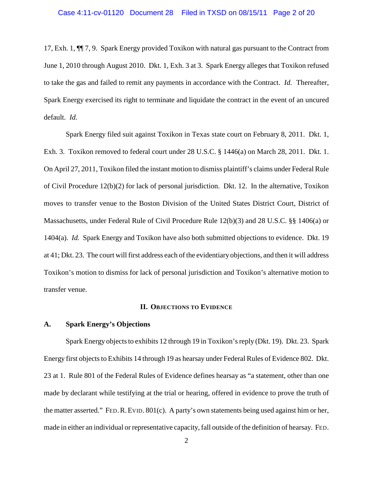17, Exh. 1, ¶¶ 7, 9. Spark Energy provided Toxikon with natural gas pursuant to the Contract from June 1, 2010 through August 2010. Dkt. 1, Exh. 3 at 3. Spark Energy alleges that Toxikon refused to take the gas and failed to remit any payments in accordance with the Contract. *Id.* Thereafter, Spark Energy exercised its right to terminate and liquidate the contract in the event of an uncured default. *Id.*

Spark Energy filed suit against Toxikon in Texas state court on February 8, 2011. Dkt. 1, Exh. 3. Toxikon removed to federal court under 28 U.S.C. § 1446(a) on March 28, 2011. Dkt. 1. On April 27, 2011, Toxikon filed the instant motion to dismiss plaintiff's claims under Federal Rule of Civil Procedure 12(b)(2) for lack of personal jurisdiction. Dkt. 12. In the alternative, Toxikon moves to transfer venue to the Boston Division of the United States District Court, District of Massachusetts, under Federal Rule of Civil Procedure Rule 12(b)(3) and 28 U.S.C. §§ 1406(a) or 1404(a). *Id.* Spark Energy and Toxikon have also both submitted objections to evidence. Dkt. 19 at 41; Dkt. 23. The court will first address each of the evidentiary objections, and then it will address Toxikon's motion to dismiss for lack of personal jurisdiction and Toxikon's alternative motion to transfer venue.

#### **II. OBJECTIONS TO EVIDENCE**

# **A. Spark Energy's Objections**

Spark Energy objects to exhibits 12 through 19 in Toxikon's reply (Dkt. 19). Dkt. 23. Spark Energy first objects to Exhibits 14 through 19 as hearsay under Federal Rules of Evidence 802. Dkt. 23 at 1. Rule 801 of the Federal Rules of Evidence defines hearsay as "a statement, other than one made by declarant while testifying at the trial or hearing, offered in evidence to prove the truth of the matter asserted." FED.R.EVID. 801(c). A party's own statements being used against him or her, made in either an individual or representative capacity, fall outside of the definition of hearsay. FED.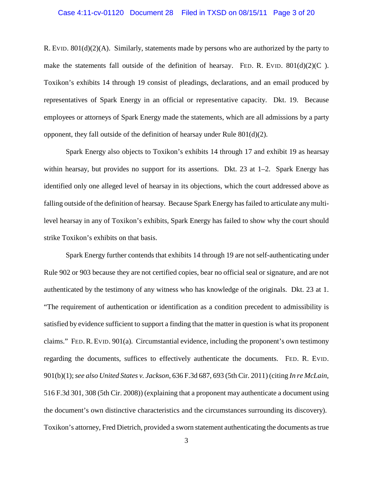### Case 4:11-cv-01120 Document 28 Filed in TXSD on 08/15/11 Page 3 of 20

R. EVID. 801(d)(2)(A). Similarly, statements made by persons who are authorized by the party to make the statements fall outside of the definition of hearsay. FED. R. EVID.  $801(d)(2)(C)$ . Toxikon's exhibits 14 through 19 consist of pleadings, declarations, and an email produced by representatives of Spark Energy in an official or representative capacity. Dkt. 19. Because employees or attorneys of Spark Energy made the statements, which are all admissions by a party opponent, they fall outside of the definition of hearsay under Rule 801(d)(2).

Spark Energy also objects to Toxikon's exhibits 14 through 17 and exhibit 19 as hearsay within hearsay, but provides no support for its assertions. Dkt. 23 at 1–2. Spark Energy has identified only one alleged level of hearsay in its objections, which the court addressed above as falling outside of the definition of hearsay. Because Spark Energy has failed to articulate any multilevel hearsay in any of Toxikon's exhibits, Spark Energy has failed to show why the court should strike Toxikon's exhibits on that basis.

Spark Energy further contends that exhibits 14 through 19 are not self-authenticating under Rule 902 or 903 because they are not certified copies, bear no official seal or signature, and are not authenticated by the testimony of any witness who has knowledge of the originals. Dkt. 23 at 1. "The requirement of authentication or identification as a condition precedent to admissibility is satisfied by evidence sufficient to support a finding that the matter in question is what its proponent claims." FED.R. EVID. 901(a). Circumstantial evidence, including the proponent's own testimony regarding the documents, suffices to effectively authenticate the documents. FED. R. EVID. 901(b)(1);*see also United States v. Jackson*, 636 F.3d 687, 693 (5th Cir. 2011) (citing *In re McLain*, 516 F.3d 301, 308 (5th Cir. 2008)) (explaining that a proponent may authenticate a document using the document's own distinctive characteristics and the circumstances surrounding its discovery). Toxikon's attorney, Fred Dietrich, provided a sworn statement authenticating the documents as true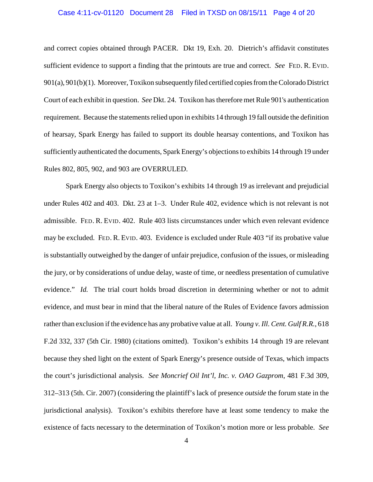# Case 4:11-cv-01120 Document 28 Filed in TXSD on 08/15/11 Page 4 of 20

and correct copies obtained through PACER. Dkt 19, Exh. 20. Dietrich's affidavit constitutes sufficient evidence to support a finding that the printouts are true and correct. *See* FED. R. EVID. 901(a), 901(b)(1). Moreover, Toxikon subsequently filed certified copies from the Colorado District Court of each exhibit in question. *See* Dkt. 24. Toxikon has therefore met Rule 901's authentication requirement. Because the statements relied upon in exhibits 14 through 19 fall outside the definition of hearsay, Spark Energy has failed to support its double hearsay contentions, and Toxikon has sufficiently authenticated the documents, Spark Energy's objections to exhibits 14 through 19 under Rules 802, 805, 902, and 903 are OVERRULED.

Spark Energy also objects to Toxikon's exhibits 14 through 19 as irrelevant and prejudicial under Rules 402 and 403. Dkt. 23 at 1–3. Under Rule 402, evidence which is not relevant is not admissible. FED. R. EVID. 402. Rule 403 lists circumstances under which even relevant evidence may be excluded. FED. R. EVID. 403. Evidence is excluded under Rule 403 "if its probative value is substantially outweighed by the danger of unfair prejudice, confusion of the issues, or misleading the jury, or by considerations of undue delay, waste of time, or needless presentation of cumulative evidence." *Id.* The trial court holds broad discretion in determining whether or not to admit evidence, and must bear in mind that the liberal nature of the Rules of Evidence favors admission rather than exclusion if the evidence has any probative value at all. *Young v. Ill. Cent. Gulf R.R.*, 618 F.2d 332, 337 (5th Cir. 1980) (citations omitted). Toxikon's exhibits 14 through 19 are relevant because they shed light on the extent of Spark Energy's presence outside of Texas, which impacts the court's jurisdictional analysis. *See Moncrief Oil Int'l, Inc. v. OAO Gazprom*, 481 F.3d 309, 312–313 (5th. Cir. 2007) (considering the plaintiff's lack of presence *outside* the forum state in the jurisdictional analysis). Toxikon's exhibits therefore have at least some tendency to make the existence of facts necessary to the determination of Toxikon's motion more or less probable. *See*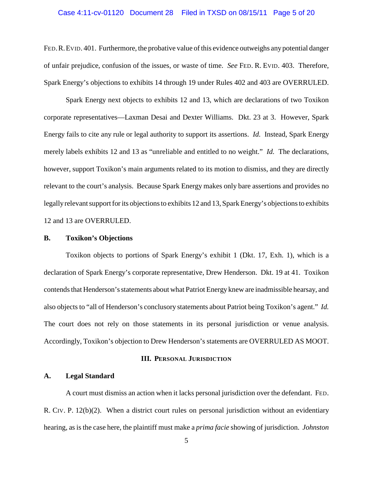### Case 4:11-cv-01120 Document 28 Filed in TXSD on 08/15/11 Page 5 of 20

FED.R.EVID. 401. Furthermore, the probative value of this evidence outweighs any potential danger of unfair prejudice, confusion of the issues, or waste of time. *See* FED. R. EVID. 403. Therefore, Spark Energy's objections to exhibits 14 through 19 under Rules 402 and 403 are OVERRULED.

Spark Energy next objects to exhibits 12 and 13, which are declarations of two Toxikon corporate representatives—Laxman Desai and Dexter Williams. Dkt. 23 at 3. However, Spark Energy fails to cite any rule or legal authority to support its assertions. *Id.* Instead, Spark Energy merely labels exhibits 12 and 13 as "unreliable and entitled to no weight." *Id.* The declarations, however, support Toxikon's main arguments related to its motion to dismiss, and they are directly relevant to the court's analysis. Because Spark Energy makes only bare assertions and provides no legally relevant support for its objections to exhibits 12 and 13, Spark Energy's objections to exhibits 12 and 13 are OVERRULED.

#### **B. Toxikon's Objections**

Toxikon objects to portions of Spark Energy's exhibit 1 (Dkt. 17, Exh. 1), which is a declaration of Spark Energy's corporate representative, Drew Henderson. Dkt. 19 at 41. Toxikon contends that Henderson's statements about what Patriot Energy knew are inadmissible hearsay, and also objects to "all of Henderson's conclusory statements about Patriot being Toxikon's agent." *Id.* The court does not rely on those statements in its personal jurisdiction or venue analysis. Accordingly, Toxikon's objection to Drew Henderson's statements are OVERRULED AS MOOT.

#### **III. PERSONAL JURISDICTION**

# **A. Legal Standard**

A court must dismiss an action when it lacks personal jurisdiction over the defendant. FED. R. CIV. P. 12(b)(2). When a district court rules on personal jurisdiction without an evidentiary hearing, as is the case here, the plaintiff must make a *prima facie* showing of jurisdiction. *Johnston*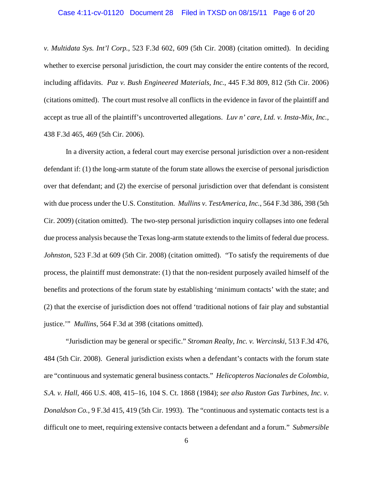### Case 4:11-cv-01120 Document 28 Filed in TXSD on 08/15/11 Page 6 of 20

*v. Multidata Sys. Int'l Corp.*, 523 F.3d 602, 609 (5th Cir. 2008) (citation omitted). In deciding whether to exercise personal jurisdiction, the court may consider the entire contents of the record, including affidavits. *Paz v. Bush Engineered Materials, Inc.*, 445 F.3d 809, 812 (5th Cir. 2006) (citations omitted). The court must resolve all conflicts in the evidence in favor of the plaintiff and accept as true all of the plaintiff's uncontroverted allegations. *Luv n' care, Ltd. v. Insta-Mix, Inc.*, 438 F.3d 465, 469 (5th Cir. 2006).

In a diversity action, a federal court may exercise personal jurisdiction over a non-resident defendant if: (1) the long-arm statute of the forum state allows the exercise of personal jurisdiction over that defendant; and (2) the exercise of personal jurisdiction over that defendant is consistent with due process under the U.S. Constitution. *Mullins v. TestAmerica, Inc.*, 564 F.3d 386, 398 (5th Cir. 2009) (citation omitted). The two-step personal jurisdiction inquiry collapses into one federal due process analysis because the Texas long-arm statute extends to the limits of federal due process. *Johnston*, 523 F.3d at 609 (5th Cir. 2008) (citation omitted). "To satisfy the requirements of due process, the plaintiff must demonstrate: (1) that the non-resident purposely availed himself of the benefits and protections of the forum state by establishing 'minimum contacts' with the state; and (2) that the exercise of jurisdiction does not offend 'traditional notions of fair play and substantial justice.'" *Mullins*, 564 F.3d at 398 (citations omitted).

"Jurisdiction may be general or specific." *Stroman Realty, Inc. v. Wercinski*, 513 F.3d 476, 484 (5th Cir. 2008). General jurisdiction exists when a defendant's contacts with the forum state are "continuous and systematic general business contacts." *Helicopteros Nacionales de Colombia, S.A. v. Hall*, 466 U.S. 408, 415–16, 104 S. Ct. 1868 (1984); *see also Ruston Gas Turbines, Inc. v. Donaldson Co.*, 9 F.3d 415, 419 (5th Cir. 1993). The "continuous and systematic contacts test is a difficult one to meet, requiring extensive contacts between a defendant and a forum." *Submersible*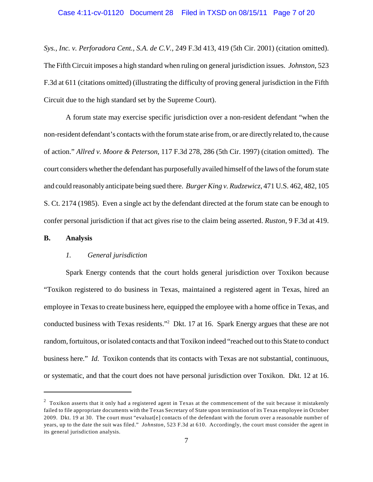*Sys., Inc. v. Perforadora Cent., S.A. de C.V.*, 249 F.3d 413, 419 (5th Cir. 2001) (citation omitted). The Fifth Circuit imposes a high standard when ruling on general jurisdiction issues. *Johnston*, 523 F.3d at 611 (citations omitted) (illustrating the difficulty of proving general jurisdiction in the Fifth Circuit due to the high standard set by the Supreme Court).

A forum state may exercise specific jurisdiction over a non-resident defendant "when the non-resident defendant's contacts with the forum state arise from, or are directly related to, the cause of action." *Allred v. Moore & Peterson*, 117 F.3d 278, 286 (5th Cir. 1997) (citation omitted). The court considers whether the defendant has purposefullyavailed himself of the laws of the forum state and could reasonably anticipate being sued there. *Burger King v. Rudzewicz*, 471 U.S. 462, 482, 105 S. Ct. 2174 (1985). Even a single act by the defendant directed at the forum state can be enough to confer personal jurisdiction if that act gives rise to the claim being asserted. *Ruston*, 9 F.3d at 419.

# **B. Analysis**

# *1. General jurisdiction*

Spark Energy contends that the court holds general jurisdiction over Toxikon because "Toxikon registered to do business in Texas, maintained a registered agent in Texas, hired an employee in Texas to create business here, equipped the employee with a home office in Texas, and conducted business with Texas residents."<sup>2</sup> Dkt. 17 at 16. Spark Energy argues that these are not random, fortuitous, or isolated contacts and that Toxikon indeed "reached out to this State to conduct business here." *Id.* Toxikon contends that its contacts with Texas are not substantial, continuous, or systematic, and that the court does not have personal jurisdiction over Toxikon. Dkt. 12 at 16.

<sup>&</sup>lt;sup>2</sup> Toxikon asserts that it only had a registered agent in Texas at the commencement of the suit because it mistakenly failed to file appropriate documents with the Texas Secretary of State upon termination of its Texas employee in October 2009. Dkt. 19 at 30. The court must "evaluat[e] contacts of the defendant with the forum over a reasonable number of years, up to the date the suit was filed." *Johnston*, 523 F.3d at 610. Accordingly, the court must consider the agent in its general jurisdiction analysis.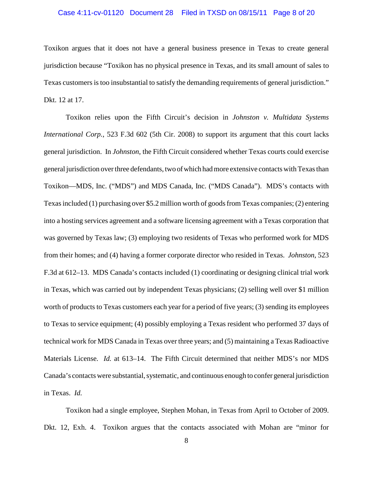### Case 4:11-cv-01120 Document 28 Filed in TXSD on 08/15/11 Page 8 of 20

Toxikon argues that it does not have a general business presence in Texas to create general jurisdiction because "Toxikon has no physical presence in Texas, and its small amount of sales to Texas customers is too insubstantial to satisfy the demanding requirements of general jurisdiction." Dkt. 12 at 17.

Toxikon relies upon the Fifth Circuit's decision in *Johnston v. Multidata Systems International Corp.*, 523 F.3d 602 (5th Cir. 2008) to support its argument that this court lacks general jurisdiction. In *Johnston*, the Fifth Circuit considered whether Texas courts could exercise general jurisdiction over three defendants, two of which had more extensive contacts with Texas than Toxikon—MDS, Inc. ("MDS") and MDS Canada, Inc. ("MDS Canada"). MDS's contacts with Texas included (1) purchasing over \$5.2 million worth of goods from Texas companies; (2) entering into a hosting services agreement and a software licensing agreement with a Texas corporation that was governed by Texas law; (3) employing two residents of Texas who performed work for MDS from their homes; and (4) having a former corporate director who resided in Texas. *Johnston*, 523 F.3d at 612–13. MDS Canada's contacts included (1) coordinating or designing clinical trial work in Texas, which was carried out by independent Texas physicians; (2) selling well over \$1 million worth of products to Texas customers each year for a period of five years; (3) sending its employees to Texas to service equipment; (4) possibly employing a Texas resident who performed 37 days of technical work for MDS Canada in Texas over three years; and (5) maintaining a Texas Radioactive Materials License. *Id.* at 613–14. The Fifth Circuit determined that neither MDS's nor MDS Canada's contacts were substantial, systematic, and continuous enough to confer general jurisdiction in Texas. *Id.*

Toxikon had a single employee, Stephen Mohan, in Texas from April to October of 2009. Dkt. 12, Exh. 4. Toxikon argues that the contacts associated with Mohan are "minor for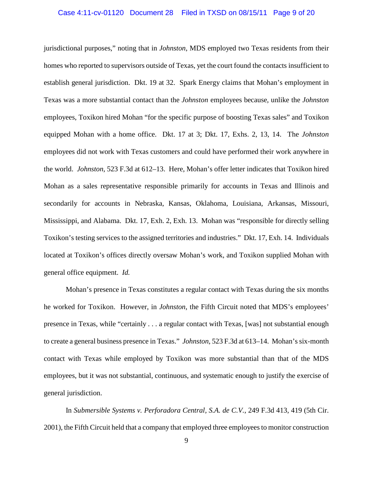### Case 4:11-cv-01120 Document 28 Filed in TXSD on 08/15/11 Page 9 of 20

jurisdictional purposes," noting that in *Johnston*, MDS employed two Texas residents from their homes who reported to supervisors outside of Texas, yet the court found the contacts insufficient to establish general jurisdiction. Dkt. 19 at 32. Spark Energy claims that Mohan's employment in Texas was a more substantial contact than the *Johnston* employees because, unlike the *Johnston* employees, Toxikon hired Mohan "for the specific purpose of boosting Texas sales" and Toxikon equipped Mohan with a home office. Dkt. 17 at 3; Dkt. 17, Exhs. 2, 13, 14. The *Johnston* employees did not work with Texas customers and could have performed their work anywhere in the world. *Johnston*, 523 F.3d at 612–13. Here, Mohan's offer letter indicates that Toxikon hired Mohan as a sales representative responsible primarily for accounts in Texas and Illinois and secondarily for accounts in Nebraska, Kansas, Oklahoma, Louisiana, Arkansas, Missouri, Mississippi, and Alabama. Dkt. 17, Exh. 2, Exh. 13. Mohan was "responsible for directly selling Toxikon's testing services to the assigned territories and industries." Dkt. 17, Exh. 14. Individuals located at Toxikon's offices directly oversaw Mohan's work, and Toxikon supplied Mohan with general office equipment. *Id.*

Mohan's presence in Texas constitutes a regular contact with Texas during the six months he worked for Toxikon. However, in *Johnston*, the Fifth Circuit noted that MDS's employees' presence in Texas, while "certainly . . . a regular contact with Texas, [was] not substantial enough to create a general business presence in Texas." *Johnston*, 523 F.3d at 613–14. Mohan's six-month contact with Texas while employed by Toxikon was more substantial than that of the MDS employees, but it was not substantial, continuous, and systematic enough to justify the exercise of general jurisdiction.

In *Submersible Systems v. Perforadora Central, S.A. de C.V.*, 249 F.3d 413, 419 (5th Cir. 2001), the Fifth Circuit held that a company that employed three employees to monitor construction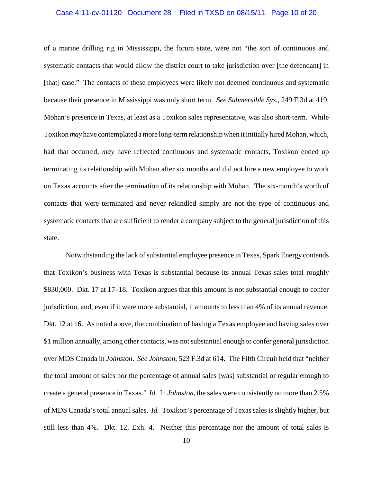### Case 4:11-cv-01120 Document 28 Filed in TXSD on 08/15/11 Page 10 of 20

of a marine drilling rig in Mississippi, the forum state, were not "the sort of continuous and systematic contacts that would allow the district court to take jurisdiction over [the defendant] in [that] case." The contacts of these employees were likely not deemed continuous and systematic because their presence in Mississippi was only short term. *See Submersible Sys.*, 249 F.3d at 419. Mohan's presence in Texas, at least as a Toxikon sales representative, was also short-term. While Toxikon *may* have contemplated a more long-term relationship when it initially hired Mohan, which, had that occurred, *may* have reflected continuous and systematic contacts, Toxikon ended up terminating its relationship with Mohan after six months and did not hire a new employee to work on Texas accounts after the termination of its relationship with Mohan. The six-month's worth of contacts that were terminated and never rekindled simply are not the type of continuous and systematic contacts that are sufficient to render a company subject to the general jurisdiction of this state.

Notwithstanding the lack of substantial employee presence in Texas, Spark Energy contends that Toxikon's business with Texas is substantial because its annual Texas sales total roughly \$830,000. Dkt. 17 at 17–18. Toxikon argues that this amount is not substantial enough to confer jurisdiction, and, even if it were more substantial, it amounts to less than 4% of its annual revenue. Dkt. 12 at 16. As noted above, the combination of having a Texas employee and having sales over \$1 million annually, among other contacts, was not substantial enough to confer general jurisdiction over MDS Canada in *Johnston*. *See Johnston*, 523 F.3d at 614. The Fifth Circuit held that "neither the total amount of sales nor the percentage of annual sales [was] substantial or regular enough to create a general presence in Texas." *Id.* In *Johnston*, the sales were consistently no more than 2.5% of MDS Canada's total annual sales. *Id.* Toxikon's percentage of Texas sales is slightly higher, but still less than 4%. Dkt. 12, Exh. 4. Neither this percentage nor the amount of total sales is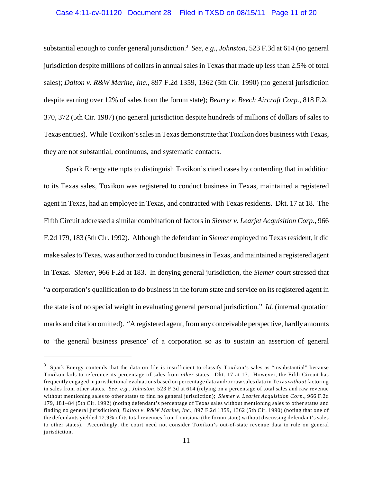### Case 4:11-cv-01120 Document 28 Filed in TXSD on 08/15/11 Page 11 of 20

substantial enough to confer general jurisdiction.<sup>3</sup> See, e.g., *Johnston*, 523 F.3d at 614 (no general jurisdiction despite millions of dollars in annual sales in Texas that made up less than 2.5% of total sales); *Dalton v. R&W Marine, Inc.*, 897 F.2d 1359, 1362 (5th Cir. 1990) (no general jurisdiction despite earning over 12% of sales from the forum state); *Bearry v. Beech Aircraft Corp.*, 818 F.2d 370, 372 (5th Cir. 1987) (no general jurisdiction despite hundreds of millions of dollars of sales to Texas entities). While Toxikon's sales in Texas demonstrate that Toxikon does business with Texas, they are not substantial, continuous, and systematic contacts.

Spark Energy attempts to distinguish Toxikon's cited cases by contending that in addition to its Texas sales, Toxikon was registered to conduct business in Texas, maintained a registered agent in Texas, had an employee in Texas, and contracted with Texas residents. Dkt. 17 at 18. The Fifth Circuit addressed a similar combination of factors in *Siemer v. Learjet Acquisition Corp.*, 966 F.2d 179, 183 (5th Cir. 1992). Although the defendant in *Siemer* employed no Texas resident, it did make sales to Texas, was authorized to conduct business in Texas, and maintained a registered agent in Texas. *Siemer*, 966 F.2d at 183. In denying general jurisdiction, the *Siemer* court stressed that "a corporation's qualification to do business in the forum state and service on its registered agent in the state is of no special weight in evaluating general personal jurisdiction." *Id.* (internal quotation marks and citation omitted). "A registered agent, from any conceivable perspective, hardly amounts to 'the general business presence' of a corporation so as to sustain an assertion of general

 $3$  Spark Energy contends that the data on file is insufficient to classify Toxikon's sales as "insubstantial" because Toxikon fails to reference its percentage of sales from *other* states. Dkt. 17 at 17. However, the Fifth Circuit has frequently engaged in jurisdictional evaluations based on percentage data and/or raw sales data in Texas *without* factoring in sales from other states. *See, e.g.*, *Johnston*, 523 F.3d at 614 (relying on a percentage of total sales and raw revenue without mentioning sales to other states to find no general jurisdiction); *Siemer v. Learjet Acquisition Corp.*, 966 F.2d 179, 181–84 (5th Cir. 1992) (noting defendant's percentage of Texas sales without mentioning sales to other states and finding no general jurisdiction); *Dalton v. R&W Marine, Inc.*, 897 F.2d 1359, 1362 (5th Cir. 1990) (noting that one of the defendants yielded 12.9% of its total revenues from Louisiana (the forum state) without discussing defendant's sales to other states). Accordingly, the court need not consider Toxikon's out-of-state revenue data to rule on general jurisdiction.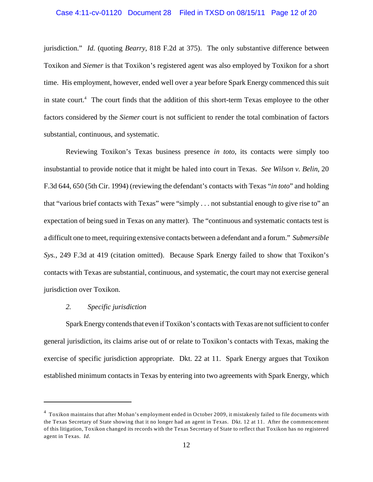jurisdiction." *Id.* (quoting *Bearry*, 818 F.2d at 375). The only substantive difference between Toxikon and *Siemer* is that Toxikon's registered agent was also employed by Toxikon for a short time. His employment, however, ended well over a year before Spark Energy commenced this suit in state court.<sup>4</sup> The court finds that the addition of this short-term Texas employee to the other factors considered by the *Siemer* court is not sufficient to render the total combination of factors substantial, continuous, and systematic.

Reviewing Toxikon's Texas business presence *in toto*, its contacts were simply too insubstantial to provide notice that it might be haled into court in Texas. *See Wilson v. Belin*, 20 F.3d 644, 650 (5th Cir. 1994) (reviewing the defendant's contacts with Texas "*in toto*" and holding that "various brief contacts with Texas" were "simply . . . not substantial enough to give rise to" an expectation of being sued in Texas on any matter). The "continuous and systematic contacts test is a difficult one to meet, requiring extensive contacts between a defendant and a forum." *Submersible Sys.*, 249 F.3d at 419 (citation omitted). Because Spark Energy failed to show that Toxikon's contacts with Texas are substantial, continuous, and systematic, the court may not exercise general jurisdiction over Toxikon.

## *2. Specific jurisdiction*

Spark Energy contends that even if Toxikon's contacts with Texas are not sufficient to confer general jurisdiction, its claims arise out of or relate to Toxikon's contacts with Texas, making the exercise of specific jurisdiction appropriate. Dkt. 22 at 11. Spark Energy argues that Toxikon established minimum contacts in Texas by entering into two agreements with Spark Energy, which

 $<sup>4</sup>$  Toxikon maintains that after Mohan's employment ended in October 2009, it mistakenly failed to file documents with</sup> the Texas Secretary of State showing that it no longer had an agent in Texas. Dkt. 12 at 11. After the commencement of this litigation, Toxikon changed its records with the Texas Secretary of State to reflect that Toxikon has no registered agent in Texas. *Id.*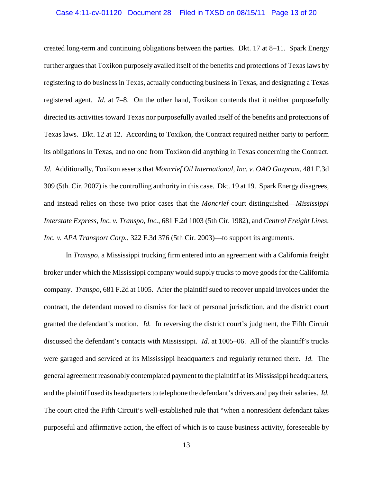### Case 4:11-cv-01120 Document 28 Filed in TXSD on 08/15/11 Page 13 of 20

created long-term and continuing obligations between the parties. Dkt. 17 at 8–11. Spark Energy further argues that Toxikon purposely availed itself of the benefits and protections of Texas laws by registering to do business in Texas, actually conducting business in Texas, and designating a Texas registered agent. *Id.* at 7–8. On the other hand, Toxikon contends that it neither purposefully directed its activities toward Texas nor purposefully availed itself of the benefits and protections of Texas laws. Dkt. 12 at 12. According to Toxikon, the Contract required neither party to perform its obligations in Texas, and no one from Toxikon did anything in Texas concerning the Contract. *Id.* Additionally, Toxikon asserts that *Moncrief Oil International, Inc. v. OAO Gazprom*, 481 F.3d 309 (5th. Cir. 2007) is the controlling authority in this case. Dkt. 19 at 19. Spark Energy disagrees, and instead relies on those two prior cases that the *Moncrief* court distinguished—*Mississippi Interstate Express, Inc. v. Transpo, Inc.*, 681 F.2d 1003 (5th Cir. 1982), and *Central Freight Lines, Inc. v. APA Transport Corp.*, 322 F.3d 376 (5th Cir. 2003)—to support its arguments.

In *Transpo*, a Mississippi trucking firm entered into an agreement with a California freight broker under which the Mississippi company would supply trucks to move goods for the California company. *Transpo*, 681 F.2d at 1005. After the plaintiff sued to recover unpaid invoices under the contract, the defendant moved to dismiss for lack of personal jurisdiction, and the district court granted the defendant's motion. *Id.* In reversing the district court's judgment, the Fifth Circuit discussed the defendant's contacts with Mississippi. *Id.* at 1005–06. All of the plaintiff's trucks were garaged and serviced at its Mississippi headquarters and regularly returned there. *Id.* The general agreement reasonably contemplated payment to the plaintiff at its Mississippi headquarters, and the plaintiff used its headquarters to telephone the defendant's drivers and pay their salaries. *Id.* The court cited the Fifth Circuit's well-established rule that "when a nonresident defendant takes purposeful and affirmative action, the effect of which is to cause business activity, foreseeable by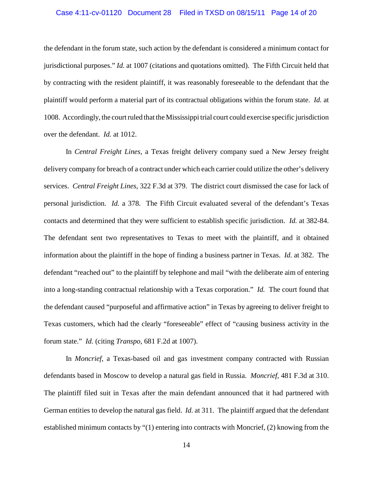### Case 4:11-cv-01120 Document 28 Filed in TXSD on 08/15/11 Page 14 of 20

the defendant in the forum state, such action by the defendant is considered a minimum contact for jurisdictional purposes." *Id.* at 1007 (citations and quotations omitted). The Fifth Circuit held that by contracting with the resident plaintiff, it was reasonably foreseeable to the defendant that the plaintiff would perform a material part of its contractual obligations within the forum state. *Id.* at 1008. Accordingly, the court ruled that the Mississippi trial court could exercise specific jurisdiction over the defendant. *Id.* at 1012.

In *Central Freight Lines*, a Texas freight delivery company sued a New Jersey freight delivery company for breach of a contract under which each carrier could utilize the other's delivery services. *Central Freight Lines*, 322 F.3d at 379. The district court dismissed the case for lack of personal jurisdiction. *Id.* a 378. The Fifth Circuit evaluated several of the defendant's Texas contacts and determined that they were sufficient to establish specific jurisdiction. *Id.* at 382-84. The defendant sent two representatives to Texas to meet with the plaintiff, and it obtained information about the plaintiff in the hope of finding a business partner in Texas. *Id.* at 382. The defendant "reached out" to the plaintiff by telephone and mail "with the deliberate aim of entering into a long-standing contractual relationship with a Texas corporation." *Id.* The court found that the defendant caused "purposeful and affirmative action" in Texas by agreeing to deliver freight to Texas customers, which had the clearly "foreseeable" effect of "causing business activity in the forum state." *Id.* (citing *Transpo*, 681 F.2d at 1007).

In *Moncrief*, a Texas-based oil and gas investment company contracted with Russian defendants based in Moscow to develop a natural gas field in Russia. *Moncrief*, 481 F.3d at 310. The plaintiff filed suit in Texas after the main defendant announced that it had partnered with German entities to develop the natural gas field. *Id.* at 311. The plaintiff argued that the defendant established minimum contacts by "(1) entering into contracts with Moncrief, (2) knowing from the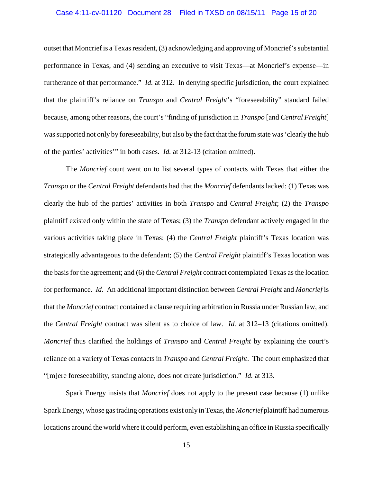### Case 4:11-cv-01120 Document 28 Filed in TXSD on 08/15/11 Page 15 of 20

outset that Moncrief is a Texas resident, (3) acknowledging and approving of Moncrief's substantial performance in Texas, and (4) sending an executive to visit Texas—at Moncrief's expense—in furtherance of that performance." *Id.* at 312. In denying specific jurisdiction, the court explained that the plaintiff's reliance on *Transpo* and *Central Freight*'s "foreseeability" standard failed because, among other reasons, the court's "finding of jurisdiction in *Transpo* [and *Central Freight*] was supported not only by foreseeability, but also by the fact that the forum state was 'clearly the hub of the parties' activities'" in both cases. *Id.* at 312-13 (citation omitted).

The *Moncrief* court went on to list several types of contacts with Texas that either the *Transpo* or the *Central Freight* defendants had that the *Moncrief* defendants lacked: (1) Texas was clearly the hub of the parties' activities in both *Transpo* and *Central Freight*; (2) the *Transpo* plaintiff existed only within the state of Texas; (3) the *Transpo* defendant actively engaged in the various activities taking place in Texas; (4) the *Central Freight* plaintiff's Texas location was strategically advantageous to the defendant; (5) the *Central Freight* plaintiff's Texas location was the basis for the agreement; and (6) the *Central Freight* contract contemplated Texas as the location for performance. *Id.* An additional important distinction between *Central Freight* and *Moncrief* is that the *Moncrief* contract contained a clause requiring arbitration in Russia under Russian law, and the *Central Freight* contract was silent as to choice of law. *Id.* at 312–13 (citations omitted). *Moncrief* thus clarified the holdings of *Transpo* and *Central Freight* by explaining the court's reliance on a variety of Texas contacts in *Transpo* and *Central Freight*. The court emphasized that "[m]ere foreseeability, standing alone, does not create jurisdiction." *Id.* at 313.

Spark Energy insists that *Moncrief* does not apply to the present case because (1) unlike Spark Energy, whose gas trading operations exist only in Texas, the *Moncrief* plaintiff had numerous locations around the world where it could perform, even establishing an office in Russia specifically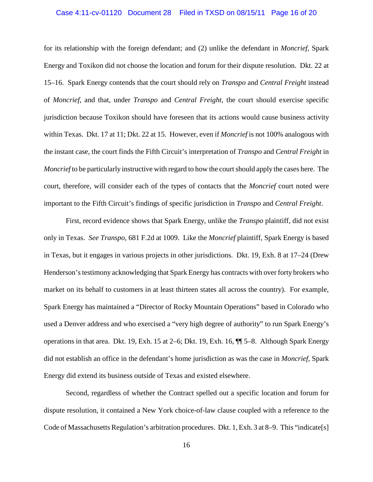### Case 4:11-cv-01120 Document 28 Filed in TXSD on 08/15/11 Page 16 of 20

for its relationship with the foreign defendant; and (2) unlike the defendant in *Moncrief*, Spark Energy and Toxikon did not choose the location and forum for their dispute resolution. Dkt. 22 at 15–16. Spark Energy contends that the court should rely on *Transpo* and *Central Freight* instead of *Moncrief*, and that, under *Transpo* and *Central Freight*, the court should exercise specific jurisdiction because Toxikon should have foreseen that its actions would cause business activity within Texas. Dkt. 17 at 11; Dkt. 22 at 15. However, even if *Moncrief* is not 100% analogous with the instant case, the court finds the Fifth Circuit's interpretation of *Transpo* and *Central Freight* in *Moncrief* to be particularly instructive with regard to how the court should apply the cases here. The court, therefore, will consider each of the types of contacts that the *Moncrief* court noted were important to the Fifth Circuit's findings of specific jurisdiction in *Transpo* and *Central Freight*.

First, record evidence shows that Spark Energy, unlike the *Transpo* plaintiff, did not exist only in Texas. *See Transpo*, 681 F.2d at 1009. Like the *Moncrief* plaintiff, Spark Energy is based in Texas, but it engages in various projects in other jurisdictions. Dkt. 19, Exh. 8 at 17–24 (Drew Henderson's testimony acknowledging that Spark Energy has contracts with over forty brokers who market on its behalf to customers in at least thirteen states all across the country). For example, Spark Energy has maintained a "Director of Rocky Mountain Operations" based in Colorado who used a Denver address and who exercised a "very high degree of authority" to run Spark Energy's operations in that area. Dkt. 19, Exh. 15 at 2–6; Dkt. 19, Exh. 16, ¶¶ 5–8. Although Spark Energy did not establish an office in the defendant's home jurisdiction as was the case in *Moncrief*, Spark Energy did extend its business outside of Texas and existed elsewhere.

Second, regardless of whether the Contract spelled out a specific location and forum for dispute resolution, it contained a New York choice-of-law clause coupled with a reference to the Code of Massachusetts Regulation's arbitration procedures. Dkt. 1, Exh. 3 at 8–9. This "indicate[s]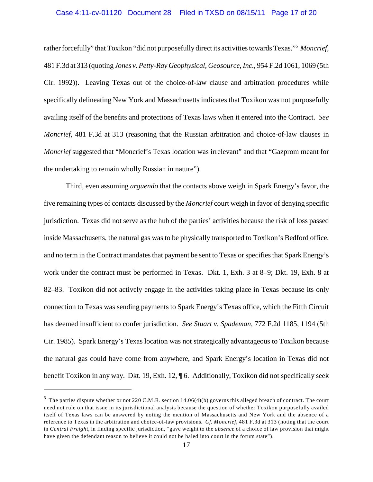#### Case 4:11-cv-01120 Document 28 Filed in TXSD on 08/15/11 Page 17 of 20

rather forcefully" that Toxikon "did not purposefully direct its activities towards Texas."<sup>5</sup> Moncrief, 481 F.3d at 313 (quoting *Jones v. Petty-Ray Geophysical, Geosource, Inc.*, 954 F.2d 1061, 1069 (5th Cir. 1992)). Leaving Texas out of the choice-of-law clause and arbitration procedures while specifically delineating New York and Massachusetts indicates that Toxikon was not purposefully availing itself of the benefits and protections of Texas laws when it entered into the Contract. *See Moncrief*, 481 F.3d at 313 (reasoning that the Russian arbitration and choice-of-law clauses in *Moncrief* suggested that "Moncrief's Texas location was irrelevant" and that "Gazprom meant for the undertaking to remain wholly Russian in nature").

Third, even assuming *arguendo* that the contacts above weigh in Spark Energy's favor, the five remaining types of contacts discussed by the *Moncrief* court weigh in favor of denying specific jurisdiction. Texas did not serve as the hub of the parties' activities because the risk of loss passed inside Massachusetts, the natural gas was to be physically transported to Toxikon's Bedford office, and no term in the Contract mandates that payment be sent to Texas or specifies that Spark Energy's work under the contract must be performed in Texas. Dkt. 1, Exh. 3 at 8–9; Dkt. 19, Exh. 8 at 82–83. Toxikon did not actively engage in the activities taking place in Texas because its only connection to Texas was sending payments to Spark Energy's Texas office, which the Fifth Circuit has deemed insufficient to confer jurisdiction. *See Stuart v. Spademan*, 772 F.2d 1185, 1194 (5th Cir. 1985). Spark Energy's Texas location was not strategically advantageous to Toxikon because the natural gas could have come from anywhere, and Spark Energy's location in Texas did not benefit Toxikon in any way. Dkt. 19, Exh. 12, ¶ 6. Additionally, Toxikon did not specifically seek

 $<sup>5</sup>$  The parties dispute whether or not 220 C.M.R. section 14.06(4)(b) governs this alleged breach of contract. The court</sup> need not rule on that issue in its jurisdictional analysis because the question of whether Toxikon purposefully availed itself of Texas laws can be answered by noting the mention of Massachusetts and New York and the absence of a reference to Texas in the arbitration and choice-of-law provisions. *Cf. Moncrief*, 481 F.3d at 313 (noting that the court in *Central Freight*, in finding specific jurisdiction, "gave weight to the *absence* of a choice of law provision that might have given the defendant reason to believe it could not be haled into court in the forum state").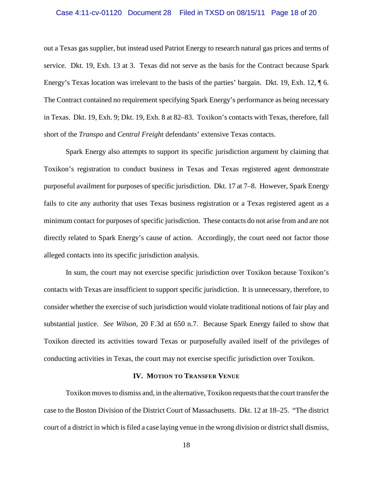### Case 4:11-cv-01120 Document 28 Filed in TXSD on 08/15/11 Page 18 of 20

out a Texas gas supplier, but instead used Patriot Energy to research natural gas prices and terms of service. Dkt. 19, Exh. 13 at 3. Texas did not serve as the basis for the Contract because Spark Energy's Texas location was irrelevant to the basis of the parties' bargain. Dkt. 19, Exh. 12, ¶ 6. The Contract contained no requirement specifying Spark Energy's performance as being necessary in Texas. Dkt. 19, Exh. 9; Dkt. 19, Exh. 8 at 82–83. Toxikon's contacts with Texas, therefore, fall short of the *Transpo* and *Central Freight* defendants' extensive Texas contacts.

Spark Energy also attempts to support its specific jurisdiction argument by claiming that Toxikon's registration to conduct business in Texas and Texas registered agent demonstrate purposeful availment for purposes of specific jurisdiction. Dkt. 17 at 7–8. However, Spark Energy fails to cite any authority that uses Texas business registration or a Texas registered agent as a minimum contact for purposes of specific jurisdiction. These contacts do not arise from and are not directly related to Spark Energy's cause of action. Accordingly, the court need not factor those alleged contacts into its specific jurisdiction analysis.

In sum, the court may not exercise specific jurisdiction over Toxikon because Toxikon's contacts with Texas are insufficient to support specific jurisdiction. It is unnecessary, therefore, to consider whether the exercise of such jurisdiction would violate traditional notions of fair play and substantial justice. *See Wilson*, 20 F.3d at 650 n.7. Because Spark Energy failed to show that Toxikon directed its activities toward Texas or purposefully availed itself of the privileges of conducting activities in Texas, the court may not exercise specific jurisdiction over Toxikon.

## **IV. MOTION TO TRANSFER VENUE**

Toxikon moves to dismiss and, in the alternative, Toxikon requests that the court transfer the case to the Boston Division of the District Court of Massachusetts. Dkt. 12 at 18–25. "The district court of a district in which is filed a case laying venue in the wrong division or district shall dismiss,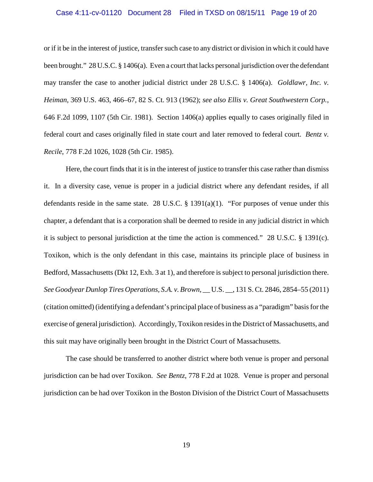### Case 4:11-cv-01120 Document 28 Filed in TXSD on 08/15/11 Page 19 of 20

or if it be in the interest of justice, transfer such case to any district or division in which it could have been brought." 28 U.S.C. § 1406(a). Even a court that lacks personal jurisdiction over the defendant may transfer the case to another judicial district under 28 U.S.C. § 1406(a). *Goldlawr, Inc. v. Heiman*, 369 U.S. 463, 466–67, 82 S. Ct. 913 (1962); *see also Ellis v. Great Southwestern Corp.*, 646 F.2d 1099, 1107 (5th Cir. 1981). Section 1406(a) applies equally to cases originally filed in federal court and cases originally filed in state court and later removed to federal court. *Bentz v. Recile*, 778 F.2d 1026, 1028 (5th Cir. 1985).

Here, the court finds that it is in the interest of justice to transfer this case rather than dismiss it. In a diversity case, venue is proper in a judicial district where any defendant resides, if all defendants reside in the same state. 28 U.S.C.  $\S$  1391(a)(1). "For purposes of venue under this chapter, a defendant that is a corporation shall be deemed to reside in any judicial district in which it is subject to personal jurisdiction at the time the action is commenced." 28 U.S.C. § 1391(c). Toxikon, which is the only defendant in this case, maintains its principle place of business in Bedford, Massachusetts (Dkt 12, Exh. 3 at 1), and therefore is subject to personal jurisdiction there. *See Goodyear Dunlop Tires Operations, S.A. v. Brown*, \_\_ U.S. \_\_, 131 S. Ct. 2846, 2854–55 (2011) (citation omitted) (identifying a defendant's principal place of business as a "paradigm" basis for the exercise of general jurisdiction). Accordingly, Toxikon resides in the District of Massachusetts, and this suit may have originally been brought in the District Court of Massachusetts.

The case should be transferred to another district where both venue is proper and personal jurisdiction can be had over Toxikon. *See Bentz*, 778 F.2d at 1028. Venue is proper and personal jurisdiction can be had over Toxikon in the Boston Division of the District Court of Massachusetts